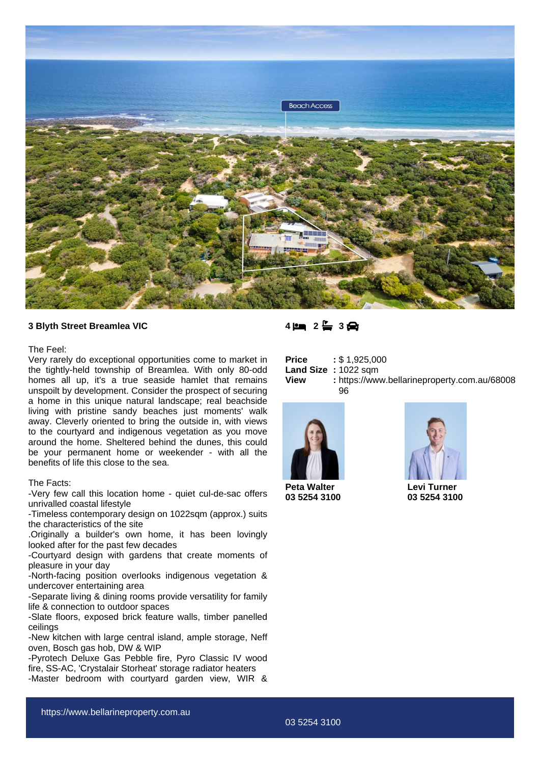

### **3 Blyth Street Breamlea VIC**

#### The Feel:

Very rarely do exceptional opportunities come to market in the tightly-held township of Breamlea. With only 80-odd homes all up, it's a true seaside hamlet that remains unspoilt by development. Consider the prospect of securing a home in this unique natural landscape; real beachside living with pristine sandy beaches just moments' walk away. Cleverly oriented to bring the outside in, with views to the courtyard and indigenous vegetation as you move around the home. Sheltered behind the dunes, this could be your permanent home or weekender - with all the benefits of life this close to the sea.

### The Facts:

-Very few call this location home - quiet cul-de-sac offers unrivalled coastal lifestyle

-Timeless contemporary design on 1022sqm (approx.) suits the characteristics of the site

.Originally a builder's own home, it has been lovingly looked after for the past few decades

-Courtyard design with gardens that create moments of pleasure in your day

-North-facing position overlooks indigenous vegetation & undercover entertaining area

-Separate living & dining rooms provide versatility for family life & connection to outdoor spaces

-Slate floors, exposed brick feature walls, timber panelled ceilings

-New kitchen with large central island, ample storage, Neff oven, Bosch gas hob, DW & WIP

-Pyrotech Deluxe Gas Pebble fire, Pyro Classic IV wood fire, SS-AC, 'Crystalair Storheat' storage radiator heaters -Master bedroom with courtyard garden view, WIR &

## **4 2 3**

| Price       | : \$1,925,000                                      |
|-------------|----------------------------------------------------|
|             | Land Size: 1022 sqm                                |
| <b>View</b> | : https://www.bellarineproperty.com.au/68008<br>96 |



**Peta Walter 03 5254 3100**



**Levi Turner 03 5254 3100**